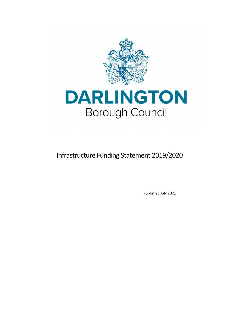

# DARLINGTON **Borough Council**

# Infrastructure Funding Statement 2019/2020

Published July 2021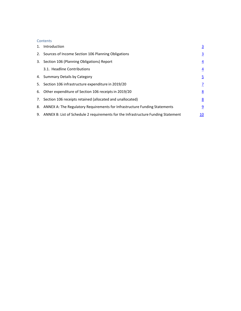#### **Contents**

| 1. Introduction                                                                      | $\overline{3}$ |
|--------------------------------------------------------------------------------------|----------------|
| 2. Sources of Income Section 106 Planning Obligations                                | $\overline{3}$ |
| 3. Section 106 (Planning Obligations) Report                                         | $\overline{4}$ |
| 3.1. Headline Contributions                                                          | $\overline{4}$ |
| 4. Summary Details by Category                                                       | $\overline{5}$ |
| 5. Section 106 infrastructure expenditure in 2019/20                                 | $\overline{1}$ |
| 6. Other expenditure of Section 106 receipts in 2019/20                              | 8              |
| 7. Section 106 receipts retained (allocated and unallocated)                         | 8              |
| 8. ANNEX A: The Regulatory Requirements for Infrastructure Funding Statements        | $\overline{9}$ |
| 9. ANNEX B: List of Schedule 2 requirements for the Infrastructure Funding Statement | <u> 10</u>     |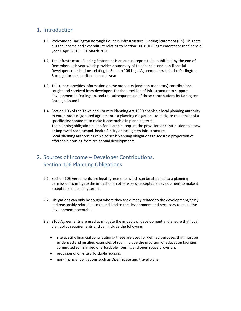#### 1. Introduction

- 1.1. Welcome to Darlington Borough Councils Infrastructure Funding Statement (IFS). This sets out the income and expenditure relating to Section 106 (S106) agreements for the financial year 1 April 2019 – 31 March 2020
- 1.2. The Infrastructure Funding Statement is an annual report to be published by the end of December each year which provides a summary of the financial and non‐financial Developer contributions relating to Section 106 Legal Agreements within the Darlington Borough for the specified financial year
- 1.3. This report provides information on the monetary (and non‐monetary) contributions sought and received from developers for the provision of infrastructure to support development in Darlington, and the subsequent use of those contributions by Darlington Borough Council.
- 1.4. Section 106 of the Town and Country Planning Act 1990 enables a local planning authority to enter into a negotiated agreement – a planning obligation ‐ to mitigate the impact of a specific development, to make it acceptable in planning terms. The planning obligation might, for example, require the provision or contribution to a new or improved road, school, health facility or local green infrastructure. Local planning authorities can also seek planning obligations to secure a proportion of affordable housing from residential developments

## 2. Sources of Income – Developer Contributions. Section 106 Planning Obligations

- 2.1. Section 106 Agreements are legal agreements which can be attached to a planning permission to mitigate the impact of an otherwise unacceptable development to make it acceptable in planning terms.
- 2.2. Obligations can only be sought where they are directly related to the development, fairly and reasonably related in scale and kind to the development and necessary to make the development acceptable.
- 2.3. S106 Agreements are used to mitigate the impacts of development and ensure that local plan policy requirements and can include the following:
	- site specific financial contributions‐ these are used for defined purposes that must be evidenced and justified examples of such include the provision of education facilities commuted sums in lieu of affordable housing and open space provision;
	- provision of on‐site affordable housing
	- non‐financial obligations such as Open Space and travel plans.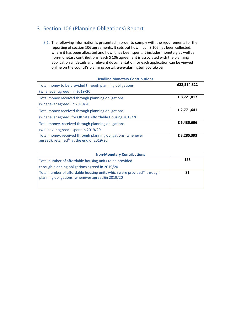## 3. Section 106 (Planning Obligations) Report

3.1. The following information is presented in order to comply with the requirements for the reporting of section 106 agreements. It sets out how much S 106 has been collected, where it has been allocated and how it has been spent. It includes monetary as well as non‐monetary contributions. Each S 106 agreement is associated with the planning application all details and relevant documentation for each application can be viewed online on the council's planning portal. **www.darlington.gov.uk/pa**

| Total money to be provided through planning obligations      | £22,514,822 |
|--------------------------------------------------------------|-------------|
| (whenever agreed) in 2019/20                                 |             |
| Total money received through planning obligations            | £8,721,017  |
| (whenever agreed) in 2019/20                                 |             |
| Total money received through planning obligations            | £ 2,771,641 |
| (whenever agreed) for Off Site Affordable Housing 2019/20    |             |
| Total money, received through planning obligations           | £5,435,696  |
| (whenever agreed), spent in 2019/20                          |             |
| Total money, received through planning obligations (whenever | £3,285,393  |
| agreed), retained <sup>14</sup> at the end of $2019/20$      |             |
|                                                              |             |

#### **Headline Monetary Contributions**

| <b>Non-Monetary Contributions</b>                                                                                                       |     |  |  |  |
|-----------------------------------------------------------------------------------------------------------------------------------------|-----|--|--|--|
| Total number of affordable housing units to be provided                                                                                 | 128 |  |  |  |
| through planning obligations agreed in 2019/20                                                                                          |     |  |  |  |
| Total number of affordable housing units which were provided <sup>15</sup> through<br>planning obligations (whenever agreed) in 2019/20 | 81  |  |  |  |
|                                                                                                                                         |     |  |  |  |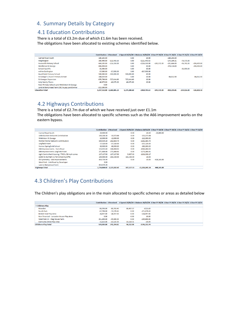#### 4. Summary Details by Category

### 4.1 Education Contributions

There is a total of £3.2m due of which £1.6m has been received. The obligations have been allocated to existing schemes identified below.

|                                             | <b>Contribution £ Received</b> |                            |              | £ Spend 25/02/20 £ Balance 26/02/20 £ Due FY 19/20 £ Due FY 20/21 £ Due FY 21/22 £ Due FY 22/23 |               |                 |               |               |
|---------------------------------------------|--------------------------------|----------------------------|--------------|-------------------------------------------------------------------------------------------------|---------------|-----------------|---------------|---------------|
| <b>Carmel Road South</b>                    | 180.245.00                     |                            | 0.00         | £0.00                                                                                           |               | $-180.245.00$   |               |               |
| <b>Heighington</b>                          | 360,490.00                     | $-111.445.63$              | 0.00         | $-£111,445.63$                                                                                  |               | $-175, 194, 31$ | $-76,375.00$  |               |
| <b>Hurworth Primary School</b>              | 644.105.00                     | $-216,350.00$              | 0.00         | $-£216,350.00$                                                                                  | $-145.571.00$ | $-101.666.00$   | $-96,741.00$  | $-198,409,00$ |
| <b>Middleton St George</b>                  | 806.494.00                     |                            | 0.00         | £0.00                                                                                           |               | $-378.118.00$   |               | $-244.400.00$ |
| <b>School Avcliffe</b>                      | 81,000,00                      |                            | 0.00         | £0.00                                                                                           |               |                 | $-81,000,00$  |               |
| within Darlington                           | 87,000,00                      | $-87,000,00$               | 0.00         | $-E87,000,00$                                                                                   |               |                 |               |               |
| <b>Heathfield Primary School</b>            | 500,000,00                     | $-500,000,00$              | 500,000.00   | £0.00                                                                                           |               |                 |               |               |
| St George's Church Primary School           | 168,025.00                     |                            | 0.00         | £0.00                                                                                           |               | $-84,012.50$    |               | $-84,012.50$  |
| <b>St Georges Expansion</b>                 | 678.798.00                     | $-727.414.60$              | 727,414.60   | £0.00                                                                                           |               |                 |               |               |
| <b>Holy family Places</b>                   | 46.875.00                      | $-46.875.00$               | 46.875.00    | £0.00                                                                                           |               |                 |               |               |
| New Primary School Land Middleton St George | 0.00                           |                            |              |                                                                                                 |               |                 |               |               |
| Land at Berrymead Farm DBC to pay LandOwner | $-315,500,00$                  |                            |              |                                                                                                 |               |                 |               |               |
| <b>Education Total</b>                      |                                | 3,237,532.00 -1,689,085.23 | 1,274,289.60 | $-£414.795.63$                                                                                  | $-145.571.00$ | $-919,235.81$   | $-254.116.00$ | $-526,821.50$ |

## 4.2 Highways Contributions

There is a total of £2.7m due of which we have received just over £1.1m The obligations have been allocated to specific schemes such as the A66 improvement works on the eastern bypass.

|                                                 |            |                            |            | Contribution £ Received £ Spend 25/02/20 £ Balance 26/02/20 £ Due FY 19/20 £ Due FY 20/21 £ Due FY 21/22 £ Due FY 22/23 |               |  |  |
|-------------------------------------------------|------------|----------------------------|------------|-------------------------------------------------------------------------------------------------------------------------|---------------|--|--|
| <b>Carmel Road South</b>                        | 20,000,00  |                            | 0.00       | £0.00                                                                                                                   | $-20,000,00$  |  |  |
| <b>Little Burdon Network Contribution</b>       | 100,218.38 | $-33.573.64$               | 0.00       | $-£33,573.64$                                                                                                           |               |  |  |
| <b>Middleton St George</b>                      | 12,000.00  | $-12,000.00$               | 0.00       | $-E12,000.00$                                                                                                           |               |  |  |
| <b>Morton Palms Network Contribution</b>        | 500.039.20 | $-262.864.70$              | 0.00       | $-E262.864.70$                                                                                                          |               |  |  |
| <b>Lingfield Point</b>                          | 57.320.00  | $-57.320.00$               | 0.00       | $-£57,320,00$                                                                                                           |               |  |  |
| Former Springfield School                       | 80,000,00  | $-80,000,00$               | 0.00       | $-£80,000,00$                                                                                                           |               |  |  |
| A66 Improvements - Yarm Road                    | 153.455.64 | $-166.868.02$              | 0.00       | $-E166,868.02$                                                                                                          |               |  |  |
| A66 Improvements Lingfield Point                | 271.888.88 | $-271,888.61$              | 0.00       | $-E271,888.61$                                                                                                          |               |  |  |
| Light Controlled Crossing / TRO's /20 mph zones | 137.137.50 | $-137,137.50$              | 5,607.33   | $-£131,530.17$                                                                                                          |               |  |  |
| £100k to Durham CC for School Aycliffe          | 100.000.00 | $-101,530.00$              | 101.530.00 | £0.00                                                                                                                   |               |  |  |
| db Symmetry - A66 Improvements                  | 450.734.99 |                            | 0.00       | £0.00                                                                                                                   | $-428.165.00$ |  |  |
| West Park - Link Road by Developer              | 0.00       |                            |            |                                                                                                                         |               |  |  |
| Land at Berrymead Farm                          | 854,074.28 |                            |            |                                                                                                                         |               |  |  |
| <b>Highways Total</b>                           |            | 2,736,868.87 -1,123,182.47 | 107,137.33 | $-£1,016,045.14$                                                                                                        | $-448,165.00$ |  |  |

## 4.3 Children's Play Contributions

The Children's play obligations are in the main allocated to specific schemes or areas as detailed below

|                                           |            |               |           |                | Contribution £ Received £ Spend 25/02/20 £ Balance 26/02/20 £ Due FY 19/20 £ Due FY 20/21 £ Due FY 21/22 £ Due FY 22/23 |
|-------------------------------------------|------------|---------------|-----------|----------------|-------------------------------------------------------------------------------------------------------------------------|
| <b>Childrens Play</b>                     |            |               |           |                |                                                                                                                         |
| Mowden                                    | 80.703.00  | $-80.703.40$  | 80.487.57 | $-6215.83$     |                                                                                                                         |
| South Park                                | 67.798.00  | $-71.079.42$  | 0.00      | $-E71.079.42$  |                                                                                                                         |
| <b>Broken Scar Play Area</b>              | 24.057.00  | $-24.057.00$  | 0.00      | $-E24.057.00$  |                                                                                                                         |
| Non Financial - Lancaster House Play Area | 0.00       |               | 0.00      | £0.00          |                                                                                                                         |
| West Park JV - Stag House Farm            | 351,200.00 | $-49.800.00$  | 0.00      | $-E49.800.00$  |                                                                                                                         |
| Darrowby Drive Play Area                  | 15,625.00  | $-15.625.00$  | 15.624.51 | $-60.49$       |                                                                                                                         |
| <b>Childrens Play Total</b>               | 539,383.00 | $-241.264.82$ | 96.112.08 | $-£145.152.74$ |                                                                                                                         |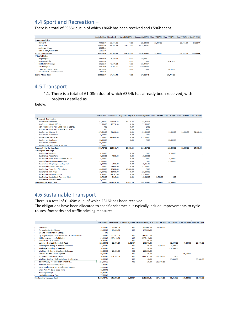## 4.4 Sport and Recreation –

There is a total of £966k due in of which £866k has been received and £596k spent.

|                                | <b>Contribution £ Received</b> |               |            | £ Spend 25/02/20 £ Balance 26/02/20 £ Due FY 19/20 £ Due FY 20/21 £ Due FY 21/22 £ Due FY 22/23 |              |              |              |              |
|--------------------------------|--------------------------------|---------------|------------|-------------------------------------------------------------------------------------------------|--------------|--------------|--------------|--------------|
| <b>■Sports Facilities</b>      |                                |               |            |                                                                                                 |              |              |              |              |
| Hurworth                       | 70,000.00                      | $-23.333.00$  | 0.00       | $-E23.333.00$                                                                                   | $-23.333.00$ |              | $-23.333.00$ | $-23,333,00$ |
| South Park                     | 715,310.00                     | $-768.591.22$ | 596.419.60 | $-E172.171.62$                                                                                  |              |              |              |              |
| Sadberge village               | 15,000.00                      |               |            |                                                                                                 |              |              |              |              |
| Land at Berrymead Farm         | 61,893.00                      |               |            |                                                                                                 |              |              |              |              |
| <b>Sports Facilities Total</b> | 862,203.00                     | $-791.924.22$ | 596,419.60 | $-£195,504.62$                                                                                  | $-23,333,00$ |              | $-23,333,00$ | $-23,333,00$ |
| Sports Pitches                 |                                |               |            |                                                                                                 |              |              |              |              |
| Heighington                    | 19,633.00                      | $-19,860.27$  | 0.00       | $-£19,860.27$                                                                                   |              |              |              |              |
| Low Coniscliffe                | 10,816.00                      |               | 0.00       | £0.00                                                                                           |              | $-10,816.00$ |              |              |
| <b>Middleton St George</b>     | 39,209.00                      | $-43.479.14$  | 0.00       | $-£43,479.14$                                                                                   |              |              |              |              |
| <b>SW Darlington</b>           | 10,974.00                      | $-10.974.00$  | 0.00       | $-£10,974.00$                                                                                   |              |              |              |              |
| Lancaster House - MsG          | 15,180,00                      |               | 0.00       | £0.00                                                                                           |              | $-15,180,00$ |              |              |
| Mowden Hall - Staindrop Road   | 8.988.00                       |               |            |                                                                                                 |              |              |              |              |
| <b>Sports Pitches Total</b>    | 104.800.00                     | $-74.313.41$  | 0.00       | $-£74.313.41$                                                                                   |              | $-25.996.00$ |              |              |

#### 4.5 Transport ‐

4.1. There is a total of £1.08m due of which £354k has already been received, with projects detailed as

below.

|                                            | <b>Contribution £ Received</b> |               |           |                | £ Spend 25/02/20 £ Balance 26/02/20 £ Due FY 19/20 £ Due FY 20/21 £ Due FY 21/22 £ Due FY 22/23 |              |              |
|--------------------------------------------|--------------------------------|---------------|-----------|----------------|-------------------------------------------------------------------------------------------------|--------------|--------------|
| <b>El Transport - Bus Services</b>         |                                |               |           |                |                                                                                                 |              |              |
| <b>Bus services - Mowden</b>               | 92.497.00                      | $-92.496.73$  | 87.179.55 | $-£5.317.18$   |                                                                                                 |              |              |
| <b>Bus Service - Lingfield Point</b>       | 23.550.00                      | $-23.550.00$  | 0.00      | $-E23.550.00$  |                                                                                                 |              |              |
| Non-Financial Bus Pass Middleton St George | 0.00                           |               | 0.00      | £0.00          |                                                                                                 |              |              |
| Non-Financial Bus Pass Station Road, MsG   | 0.00                           |               | 0.00      | £0.00          |                                                                                                 |              |              |
| <b>Bus Service - Hurworth</b>              | 327,600.00                     | $-91,000.00$  | 0.00      | $-£91,000.00$  | $-91,000.00$                                                                                    | $-91,000.00$ | $-54,600.00$ |
| <b>Bus Service - Bishopton</b>             | 8,100.00                       |               | 0.00      | £0.00          |                                                                                                 |              |              |
| <b>Bus Service - Yarm Road</b>             | 15,000.00                      | $-15,000.00$  | 0.00      | $-E15,000.00$  |                                                                                                 |              |              |
| <b>Bus Service - Sadberge</b>              | 30,000.00                      |               | 0.00      | £0.00          | $-30,000.00$                                                                                    |              |              |
| <b>Bus Service - Faverdale</b>             | 80,000.00                      |               |           |                |                                                                                                 |              |              |
| <b>Bus Service - Middleton St George</b>   | 297,000.00                     |               |           |                |                                                                                                 |              |              |
| <b>Transport - Bus Services Total</b>      | 873.747.00                     | $-222.046.73$ | 87,179.55 | $-£134.867.18$ | $-121,000.00$                                                                                   | $-91,000.00$ | $-54,600.00$ |
| <b>■Transport - Bus Stops</b>              |                                |               |           |                |                                                                                                 |              |              |
| <b>Bus Shelter - Burtree</b>               | 20,000.00                      |               | 0.00      | £0.00          | $-20,000,00$                                                                                    |              |              |
| <b>Bus Shelter - West Park</b>             | 7.500.00                       | $-7.500.00$   | 0.00      | $-E7.500.00$   |                                                                                                 |              |              |
| Bus Shelter - Briar Walk/Blackwell House   | 18,000,00                      |               | 0.00      | £0.00          | $-18,000,00$                                                                                    |              |              |
| <b>Bus Shelter - Lancaster House MsG</b>   | 21,000.00                      |               | 0.00      | £0.00          | $-21,000,00$                                                                                    |              |              |
| Bus Shelter - Heighington Village Hall     | 5,000,00                       | $-5,015.00$   | 0.00      | $-£5,015.00$   |                                                                                                 |              |              |
| <b>Bus Shelter - Acorn Close MsG</b>       | 7.000.00                       | $-7,000,00$   | 0.00      | $-E7,000,00$   |                                                                                                 |              |              |
| Bus Shelter - Tyne Cres / Tees Drive       | 40.000.00                      | $-40,000,00$  | 40,000,00 | £0.00          |                                                                                                 |              |              |
| <b>Bus Shelter - Elm Ridge</b>             | 16.000.00                      | $-16,000,00$  | 0.00      | $-£16,000,00$  |                                                                                                 |              |              |
| <b>Bus Shelter - Middleton Lane</b>        | 10,500.00                      | $-13.565.00$  | 0.00      | $-£13.565.00$  |                                                                                                 |              |              |
| Bus Shelter - East of Oak Tree Inn - MsG   | 5.750.00                       | $-5.945.00$   | 0.00      | $-£5,945.00$   | 0.00<br>$-5.750.00$                                                                             |              |              |
| <b>Bus Shelter - Edward Pease</b>          | 26,000.00                      |               |           |                |                                                                                                 |              |              |
| <b>Transport - Bus Stops Total</b>         | 213,250.00                     | $-131.976.50$ | 70,853.10 | $-£61,123,40$  | $-59,000.00$<br>$-5,750.00$                                                                     |              |              |

## 4.6 Sustainable Transport –

There is a total of £1.69m due of which £316k has been received.

The obligations have been allocated to specific schemes but typically include improvements to cycle routes, footpaths and traffic calming measures.

|                                                     |              |               |          | Contribution £ Received £ Spend 25/02/20 £ Balance 26/02/20 £ Due FY 19/20 £ Due FY 20/21 £ Due FY 21/22 £ Due FY 22/23 |               |              |               |              |
|-----------------------------------------------------|--------------|---------------|----------|-------------------------------------------------------------------------------------------------------------------------|---------------|--------------|---------------|--------------|
| Hurworth                                            | 6,000.00     | $-6,000.00$   | 0.00     | $-£6,000.00$                                                                                                            | $-6,000.00$   |              |               |              |
|                                                     |              |               |          |                                                                                                                         |               |              |               |              |
| Former Springfield School                           | 62,500.00    | $-62,500.00$  | 0.00     | $-E62,500.00$                                                                                                           |               |              |               |              |
| On Site - Middleton St George                       | 0.00         |               |          |                                                                                                                         |               |              |               |              |
| Cycling signage and infrastructure - Brinkburn Road | 15,625.00    | $-15.625.00$  | 0.00     | $-£15.625.00$                                                                                                           |               |              |               |              |
| Millfields Area - Lingfield Point                   | 109,113.00   | $-109,113.00$ | 0.00     | $-£109,113.00$                                                                                                          |               |              |               |              |
| John Street Cycle Route                             | 4,400.00     |               | 0.00     | £0.00                                                                                                                   |               |              |               |              |
| Various schemes in Roundhill Road                   | 202,500.00   | $-82,800.00$  | 2,823.64 | -£79,976.36                                                                                                             |               | $-32,800.00$ | $-60,300,00$  | $-27,500.00$ |
| Walking and cycling in Victoria Road area           | 7.800.00     |               | 0.00     | £0.00                                                                                                                   | $-3,900,00$   | $-3,900.00$  |               |              |
| Walking and cycling in Neasham                      | 10,800.00    |               | 0.00     | £0.00                                                                                                                   |               | $-10,800.00$ |               |              |
| Walking - Cycling in Middleton St George            | 28,800.00    | $-28,800.00$  | 0.00     | $-E28,800.00$                                                                                                           |               |              |               |              |
| Various projects School Aycliffe                    | 90,000.00    |               | 0.00     | £0.00                                                                                                                   |               |              | $-90,000.00$  |              |
| Footpaths - Yarm Road - MsG                         | 10,800,00    | $-11.167.00$  | 0.00     | $-£11,167.00$                                                                                                           | $-10.800.00$  | 0.00         |               |              |
| Walking - Cycling - Walworth Road Heighington       | 78,900.00    |               | 0.00     | £0.00                                                                                                                   |               | $-39,450,00$ |               | $-39,450,00$ |
| db Symmetry - Contribution extent TBA               | 283,999.13   |               | 0.00     | £0.00                                                                                                                   | $-283,999.13$ |              |               |              |
| Mowden Hall - Staindrop Road                        | 25,500.00    |               |          |                                                                                                                         |               |              |               |              |
| Yarm Road Footpaths - Middleton St George           | 56,700.00    |               |          |                                                                                                                         |               |              |               |              |
| West Park JV - Stag House Farm                      | 372,000.00   |               |          |                                                                                                                         |               |              |               |              |
| Sadberge village                                    | 46,800.00    |               |          |                                                                                                                         |               |              |               |              |
| Land at Berrymead Farm                              | 277,500.00   |               |          |                                                                                                                         |               |              |               |              |
| <b>Sustainable Transport Total</b>                  | 1.689.737.13 | $-316.005.00$ | 2.823.64 | $-6313.181.36$                                                                                                          | $-304.699.13$ | $-86.950.00$ | $-150.300.00$ | $-66.950.00$ |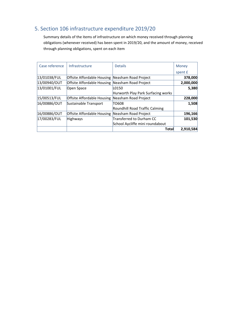# 5. Section 106 infrastructure expenditure 2019/20

Summary details of the items of infrastructure on which money received through planning obligations (whenever received) has been spent in 2019/20, and the amount of money, received through planning obligations, spent on each item

| Case reference | Infrastructure                                  | <b>Details</b>                     | Money     |
|----------------|-------------------------------------------------|------------------------------------|-----------|
|                |                                                 |                                    | spent £   |
| 13/01038/FUL   | Offsite Affordable Housing Neasham Road Project |                                    | 378,000   |
| 13/00940/OUT   | Offsite Affordable Housing Neasham Road Project |                                    | 2,000,000 |
| 13/01001/FUL   | Open Space                                      | L0150                              | 5,380     |
|                |                                                 | Hurworth Play Park Surfacing works |           |
| 15/00513/FUL   | Offsite Affordable Housing                      | Neasham Road Project               | 228,000   |
| 16/00886/OUT   | Sustainable Transport                           | TO608                              | 1,508     |
|                |                                                 | Roundhill Road Traffic Calming     |           |
| 16/00886/OUT   | Offsite Affordable Housing                      | Neasham Road Project               | 196,166   |
| 17/00283/FUL   | Highways                                        | Transferred to Durham CC           | 101,530   |
|                |                                                 | School Aycliffe mini roundabout    |           |
|                |                                                 | <b>Total</b>                       | 2,910,584 |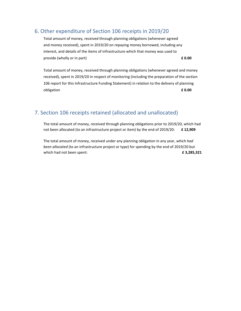#### 6. Other expenditure of Section 106 receipts in 2019/20

Total amount of money, received through planning obligations (whenever agreed and money received), spent in 2019/20 on repaying money borrowed, including any interest, and details of the items of infrastructure which that money was used to provide (wholly or in part) **£ 0.00**

Total amount of money, received through planning obligations (whenever agreed and money received), spent in 2019/20 in respect of monitoring (including the preparation of the section 106 report for this Infrastructure Funding Statement) in relation to the delivery of planning obligation **£ 0.00**

## 7. Section 106 receipts retained (allocated and unallocated)

The total amount of money, received through planning obligations prior to 2019/20, which had not been allocated (to an infrastructure project or item) by the end of 2019/20: **£ 12,909**

The total amount of money, received under any planning obligation in any year, *which had been allocated* (to an infrastructure project or type) for spending by the end of 2019/20 but which had not been spent: **£ 3,285,321**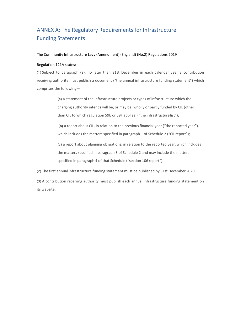# ANNEX A: The Regulatory Requirements for Infrastructure Funding Statements

#### The Community Infrastructure Levy (Amendment) (England) (No.2) Regulations 2019

#### Regulation 121A states:

(1) Subject to paragraph (2), no later than 31st December in each calendar year a contribution receiving authority must publish a document ("the annual infrastructure funding statement") which comprises the following—

> **(a)** a statement of the infrastructure projects or types of infrastructure which the charging authority intends will be, or may be, wholly or partly funded by CIL (other than CIL to which regulation 59E or 59F applies) ("the infrastructure list");

**(b)** a report about CIL, in relation to the previous financial year ("the reported year"), which includes the matters specified in paragraph 1 of Schedule 2 ("CIL report");

**(c)** a report about planning obligations, in relation to the reported year, which includes the matters specified in paragraph 3 of Schedule 2 and may include the matters specified in paragraph 4 of that Schedule ("section 106 report").

(2) The first annual infrastructure funding statement must be published by 31st December 2020.

(3) A contribution receiving authority must publish each annual infrastructure funding statement on its website.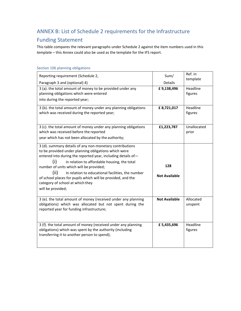# ANNEX B: List of Schedule 2 requirements for the Infrastructure

# Funding Statement

This table compares the relevant paragraphs under Schedule 2 against the item numbers used in this template – this Annex could also be used as the template for the IFS report.

| Reporting requirement (Schedule 2,                                                                                                                                                                                                                                                                                                                                                                                                                                      | Sum/                         | Ref. in<br>template  |
|-------------------------------------------------------------------------------------------------------------------------------------------------------------------------------------------------------------------------------------------------------------------------------------------------------------------------------------------------------------------------------------------------------------------------------------------------------------------------|------------------------------|----------------------|
| Paragraph 3 and (optional) 4)<br>3 (a). the total amount of money to be provided under any<br>planning obligations which were entered<br>into during the reported year;                                                                                                                                                                                                                                                                                                 | <b>Details</b><br>£9,138,496 | Headline<br>figures  |
| 3 (b). the total amount of money under any planning obligations<br>which was received during the reported year;                                                                                                                                                                                                                                                                                                                                                         | £8,721,017                   | Headline<br>figures  |
| 3 (c). the total amount of money under any planning obligations<br>which was received before the reported<br>year which has not been allocated by the authority;                                                                                                                                                                                                                                                                                                        | £1,223,787                   | Unallocated<br>prior |
| 3 (d). summary details of any non-monetary contributions<br>to be provided under planning obligations which were<br>entered into during the reported year, including details of-<br>(i)<br>in relation to affordable housing, the total<br>number of units which will be provided;<br>(ii)<br>in relation to educational facilities, the number<br>of school places for pupils which will be provided, and the<br>category of school at which they<br>will be provided; | 128<br><b>Not Available</b>  |                      |
| 3 (e). the total amount of money (received under any planning<br>obligations) which was allocated but not spent during the<br>reported year for funding infrastructure;                                                                                                                                                                                                                                                                                                 | <b>Not Available</b>         | Allocated<br>unspent |
| 3 (f). the total amount of money (received under any planning<br>obligations) which was spent by the authority (including<br>transferring it to another person to spend);                                                                                                                                                                                                                                                                                               | £5,435,696                   | Headline<br>figures  |

#### Section 106 planning obligations